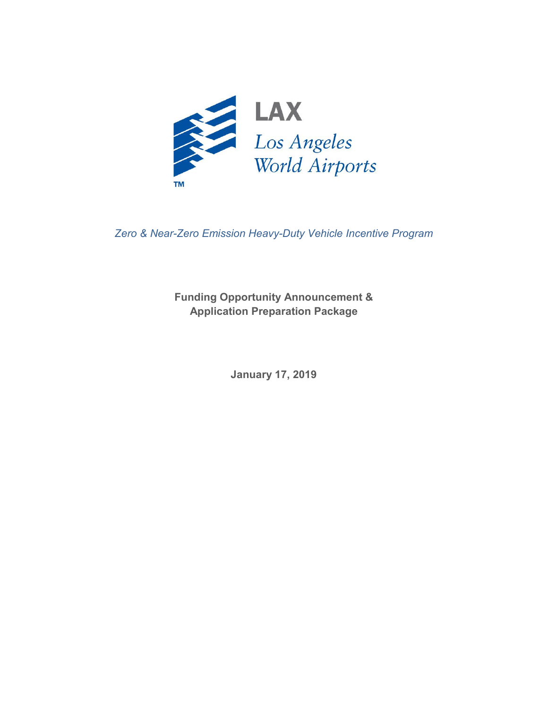

*Zero & Near-Zero Emission Heavy-Duty Vehicle Incentive Program*

**Funding Opportunity Announcement & Application Preparation Package**

**January 17, 2019**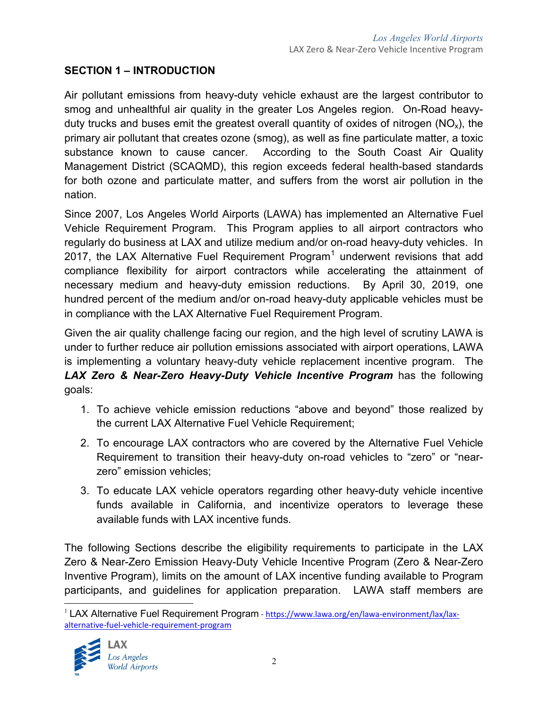## **SECTION 1 – INTRODUCTION**

Air pollutant emissions from heavy-duty vehicle exhaust are the largest contributor to smog and unhealthful air quality in the greater Los Angeles region. On-Road heavyduty trucks and buses emit the greatest overall quantity of oxides of nitrogen ( $NO<sub>x</sub>$ ), the primary air pollutant that creates ozone (smog), as well as fine particulate matter, a toxic substance known to cause cancer. According to the South Coast Air Quality Management District (SCAQMD), this region exceeds federal health-based standards for both ozone and particulate matter, and suffers from the worst air pollution in the nation.

Since 2007, Los Angeles World Airports (LAWA) has implemented an Alternative Fuel Vehicle Requirement Program. This Program applies to all airport contractors who regularly do business at LAX and utilize medium and/or on-road heavy-duty vehicles. In 20[1](#page-1-0)7, the LAX Alternative Fuel Requirement Program<sup>1</sup> underwent revisions that add compliance flexibility for airport contractors while accelerating the attainment of necessary medium and heavy-duty emission reductions. By April 30, 2019, one hundred percent of the medium and/or on-road heavy-duty applicable vehicles must be in compliance with the LAX Alternative Fuel Requirement Program.

Given the air quality challenge facing our region, and the high level of scrutiny LAWA is under to further reduce air pollution emissions associated with airport operations, LAWA is implementing a voluntary heavy-duty vehicle replacement incentive program. The *LAX Zero & Near-Zero Heavy-Duty Vehicle Incentive Program* has the following goals:

- 1. To achieve vehicle emission reductions "above and beyond" those realized by the current LAX Alternative Fuel Vehicle Requirement;
- 2. To encourage LAX contractors who are covered by the Alternative Fuel Vehicle Requirement to transition their heavy-duty on-road vehicles to "zero" or "nearzero" emission vehicles;
- 3. To educate LAX vehicle operators regarding other heavy-duty vehicle incentive funds available in California, and incentivize operators to leverage these available funds with LAX incentive funds.

The following Sections describe the eligibility requirements to participate in the LAX Zero & Near-Zero Emission Heavy-Duty Vehicle Incentive Program (Zero & Near-Zero Inventive Program), limits on the amount of LAX incentive funding available to Program participants, and guidelines for application preparation. LAWA staff members are

<span id="page-1-0"></span><sup>&</sup>lt;sup>1</sup> LAX Alternative Fuel Requirement Program - [https://www.lawa.org/en/lawa-environment/lax/lax](https://www.lawa.org/en/lawa-environment/lax/lax-alternative-fuel-vehicle-requirement-program)[alternative-fuel-vehicle-requirement-program](https://www.lawa.org/en/lawa-environment/lax/lax-alternative-fuel-vehicle-requirement-program)

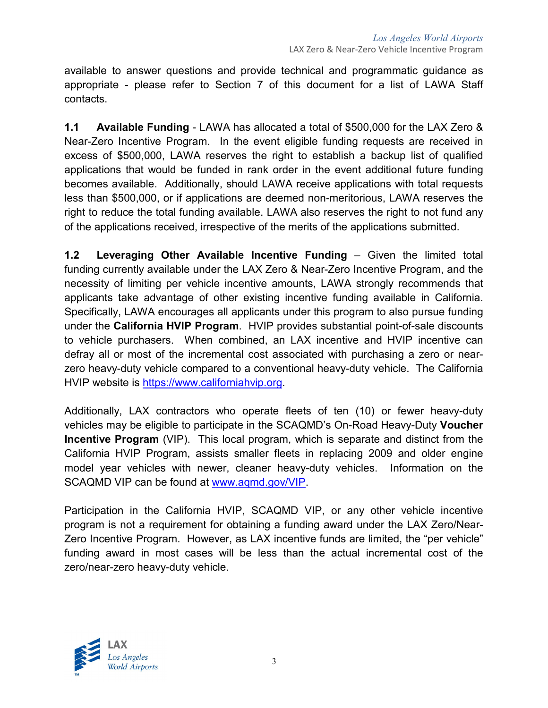available to answer questions and provide technical and programmatic guidance as appropriate - please refer to Section 7 of this document for a list of LAWA Staff contacts.

**1.1 Available Funding** - LAWA has allocated a total of \$500,000 for the LAX Zero & Near-Zero Incentive Program. In the event eligible funding requests are received in excess of \$500,000, LAWA reserves the right to establish a backup list of qualified applications that would be funded in rank order in the event additional future funding becomes available. Additionally, should LAWA receive applications with total requests less than \$500,000, or if applications are deemed non-meritorious, LAWA reserves the right to reduce the total funding available. LAWA also reserves the right to not fund any of the applications received, irrespective of the merits of the applications submitted.

**1.2 Leveraging Other Available Incentive Funding** – Given the limited total funding currently available under the LAX Zero & Near-Zero Incentive Program, and the necessity of limiting per vehicle incentive amounts, LAWA strongly recommends that applicants take advantage of other existing incentive funding available in California. Specifically, LAWA encourages all applicants under this program to also pursue funding under the **California HVIP Program**. HVIP provides substantial point-of-sale discounts to vehicle purchasers. When combined, an LAX incentive and HVIP incentive can defray all or most of the incremental cost associated with purchasing a zero or nearzero heavy-duty vehicle compared to a conventional heavy-duty vehicle. The California HVIP website is [https://www.californiahvip.org.](https://www.californiahvip.org/)

Additionally, LAX contractors who operate fleets of ten (10) or fewer heavy-duty vehicles may be eligible to participate in the SCAQMD's On-Road Heavy-Duty **Voucher Incentive Program** (VIP). This local program, which is separate and distinct from the California HVIP Program, assists smaller fleets in replacing 2009 and older engine model year vehicles with newer, cleaner heavy-duty vehicles. Information on the SCAQMD VIP can be found at [www.aqmd.gov/VIP.](http://www.aqmd.gov/VIP)

Participation in the California HVIP, SCAQMD VIP, or any other vehicle incentive program is not a requirement for obtaining a funding award under the LAX Zero/Near-Zero Incentive Program. However, as LAX incentive funds are limited, the "per vehicle" funding award in most cases will be less than the actual incremental cost of the zero/near-zero heavy-duty vehicle.

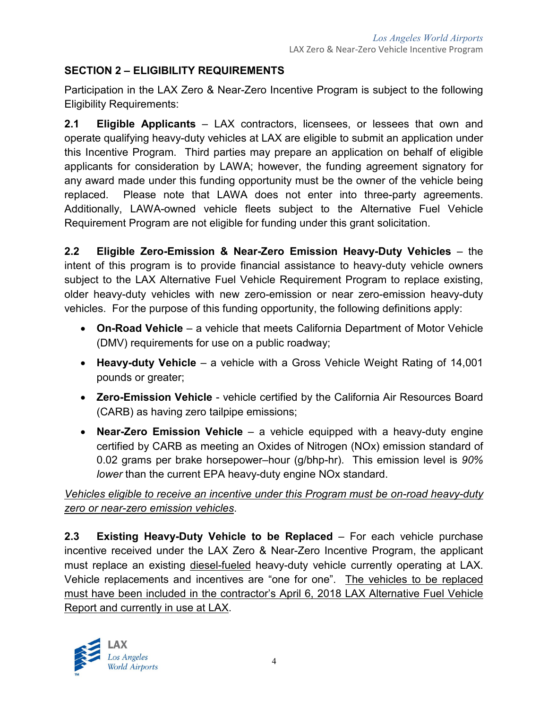# **SECTION 2 – ELIGIBILITY REQUIREMENTS**

Participation in the LAX Zero & Near-Zero Incentive Program is subject to the following Eligibility Requirements:

**2.1 Eligible Applicants** – LAX contractors, licensees, or lessees that own and operate qualifying heavy-duty vehicles at LAX are eligible to submit an application under this Incentive Program. Third parties may prepare an application on behalf of eligible applicants for consideration by LAWA; however, the funding agreement signatory for any award made under this funding opportunity must be the owner of the vehicle being replaced. Please note that LAWA does not enter into three-party agreements. Additionally, LAWA-owned vehicle fleets subject to the Alternative Fuel Vehicle Requirement Program are not eligible for funding under this grant solicitation.

**2.2 Eligible Zero-Emission & Near-Zero Emission Heavy-Duty Vehicles** – the intent of this program is to provide financial assistance to heavy-duty vehicle owners subject to the LAX Alternative Fuel Vehicle Requirement Program to replace existing, older heavy-duty vehicles with new zero-emission or near zero-emission heavy-duty vehicles. For the purpose of this funding opportunity, the following definitions apply:

- **On-Road Vehicle** a vehicle that meets California Department of Motor Vehicle (DMV) requirements for use on a public roadway;
- **Heavy-duty Vehicle** a vehicle with a Gross Vehicle Weight Rating of 14,001 pounds or greater;
- **Zero-Emission Vehicle** vehicle certified by the California Air Resources Board (CARB) as having zero tailpipe emissions;
- **Near-Zero Emission Vehicle** a vehicle equipped with a heavy-duty engine certified by CARB as meeting an Oxides of Nitrogen (NOx) emission standard of 0.02 grams per brake horsepower–hour (g/bhp-hr). This emission level is *90% lower* than the current EPA heavy-duty engine NOx standard.

*Vehicles eligible to receive an incentive under this Program must be on-road heavy-duty zero or near-zero emission vehicles*.

**2.3 Existing Heavy-Duty Vehicle to be Replaced** – For each vehicle purchase incentive received under the LAX Zero & Near-Zero Incentive Program, the applicant must replace an existing diesel-fueled heavy-duty vehicle currently operating at LAX. Vehicle replacements and incentives are "one for one". The vehicles to be replaced must have been included in the contractor's April 6, 2018 LAX Alternative Fuel Vehicle Report and currently in use at LAX.

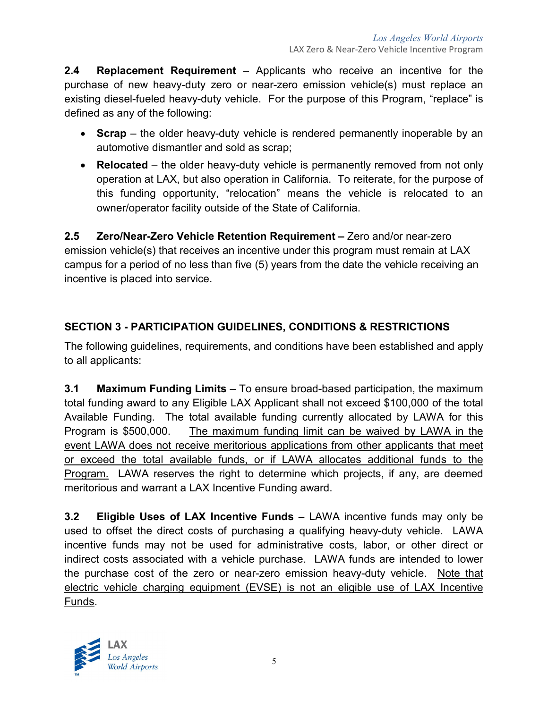**2.4 Replacement Requirement** – Applicants who receive an incentive for the purchase of new heavy-duty zero or near-zero emission vehicle(s) must replace an existing diesel-fueled heavy-duty vehicle. For the purpose of this Program, "replace" is defined as any of the following:

- **Scrap** the older heavy-duty vehicle is rendered permanently inoperable by an automotive dismantler and sold as scrap;
- **Relocated** the older heavy-duty vehicle is permanently removed from not only operation at LAX, but also operation in California. To reiterate, for the purpose of this funding opportunity, "relocation" means the vehicle is relocated to an owner/operator facility outside of the State of California.

**2.5 Zero/Near-Zero Vehicle Retention Requirement –** Zero and/or near-zero emission vehicle(s) that receives an incentive under this program must remain at LAX campus for a period of no less than five (5) years from the date the vehicle receiving an incentive is placed into service.

# **SECTION 3 - PARTICIPATION GUIDELINES, CONDITIONS & RESTRICTIONS**

The following guidelines, requirements, and conditions have been established and apply to all applicants:

**3.1 Maximum Funding Limits** – To ensure broad-based participation, the maximum total funding award to any Eligible LAX Applicant shall not exceed \$100,000 of the total Available Funding. The total available funding currently allocated by LAWA for this Program is \$500,000. The maximum funding limit can be waived by LAWA in the event LAWA does not receive meritorious applications from other applicants that meet or exceed the total available funds, or if LAWA allocates additional funds to the Program. LAWA reserves the right to determine which projects, if any, are deemed meritorious and warrant a LAX Incentive Funding award.

**3.2 Eligible Uses of LAX Incentive Funds –** LAWA incentive funds may only be used to offset the direct costs of purchasing a qualifying heavy-duty vehicle. LAWA incentive funds may not be used for administrative costs, labor, or other direct or indirect costs associated with a vehicle purchase. LAWA funds are intended to lower the purchase cost of the zero or near-zero emission heavy-duty vehicle. Note that electric vehicle charging equipment (EVSE) is not an eligible use of LAX Incentive Funds.

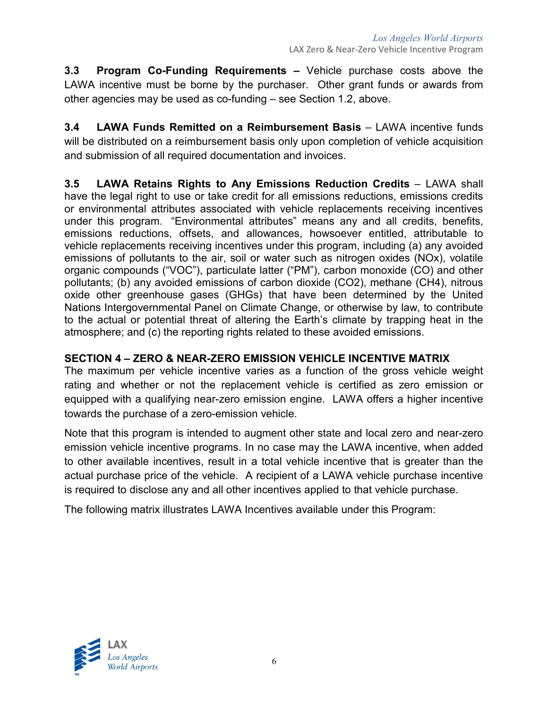**3.3 Program Co-Funding Requirements –** Vehicle purchase costs above the LAWA incentive must be borne by the purchaser. Other grant funds or awards from other agencies may be used as co-funding – see Section 1.2, above.

**3.4 LAWA Funds Remitted on a Reimbursement Basis** – LAWA incentive funds will be distributed on a reimbursement basis only upon completion of vehicle acquisition and submission of all required documentation and invoices.

**3.5 LAWA Retains Rights to Any Emissions Reduction Credits** – LAWA shall have the legal right to use or take credit for all emissions reductions, emissions credits or environmental attributes associated with vehicle replacements receiving incentives under this program. "Environmental attributes" means any and all credits, benefits, emissions reductions, offsets, and allowances, howsoever entitled, attributable to vehicle replacements receiving incentives under this program, including (a) any avoided emissions of pollutants to the air, soil or water such as nitrogen oxides (NOx), volatile organic compounds ("VOC"), particulate latter ("PM"), carbon monoxide (CO) and other pollutants; (b) any avoided emissions of carbon dioxide (CO2), methane (CH4), nitrous oxide other greenhouse gases (GHGs) that have been determined by the United Nations Intergovernmental Panel on Climate Change, or otherwise by law, to contribute to the actual or potential threat of altering the Earth's climate by trapping heat in the atmosphere; and (c) the reporting rights related to these avoided emissions.

## **SECTION 4 – ZERO & NEAR-ZERO EMISSION VEHICLE INCENTIVE MATRIX**

The maximum per vehicle incentive varies as a function of the gross vehicle weight rating and whether or not the replacement vehicle is certified as zero emission or equipped with a qualifying near-zero emission engine. LAWA offers a higher incentive towards the purchase of a zero-emission vehicle.

Note that this program is intended to augment other state and local zero and near-zero emission vehicle incentive programs. In no case may the LAWA incentive, when added to other available incentives, result in a total vehicle incentive that is greater than the actual purchase price of the vehicle. A recipient of a LAWA vehicle purchase incentive is required to disclose any and all other incentives applied to that vehicle purchase.

The following matrix illustrates LAWA Incentives available under this Program:

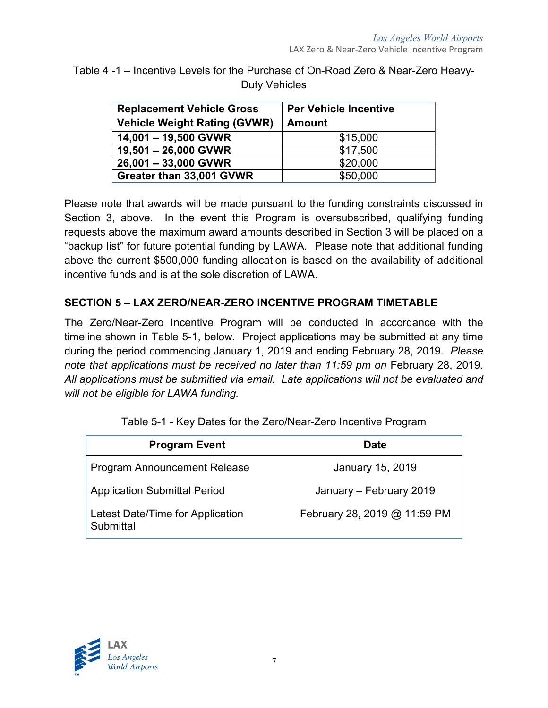| Table 4-1 – Incentive Levels for the Purchase of On-Road Zero & Near-Zero Heavy- |  |
|----------------------------------------------------------------------------------|--|
| Duty Vehicles                                                                    |  |

| <b>Replacement Vehicle Gross</b><br><b>Vehicle Weight Rating (GVWR)</b> | <b>Per Vehicle Incentive</b><br><b>Amount</b> |
|-------------------------------------------------------------------------|-----------------------------------------------|
| 14,001 - 19,500 GVWR                                                    | \$15,000                                      |
| 19,501 - 26,000 GVWR                                                    | \$17,500                                      |
| 26,001 - 33,000 GVWR                                                    | \$20,000                                      |
| Greater than 33,001 GVWR                                                | \$50,000                                      |

Please note that awards will be made pursuant to the funding constraints discussed in Section 3, above. In the event this Program is oversubscribed, qualifying funding requests above the maximum award amounts described in Section 3 will be placed on a "backup list" for future potential funding by LAWA. Please note that additional funding above the current \$500,000 funding allocation is based on the availability of additional incentive funds and is at the sole discretion of LAWA.

# **SECTION 5 – LAX ZERO/NEAR-ZERO INCENTIVE PROGRAM TIMETABLE**

The Zero/Near-Zero Incentive Program will be conducted in accordance with the timeline shown in Table 5-1, below. Project applications may be submitted at any time during the period commencing January 1, 2019 and ending February 28, 2019. *Please*  note that applications must be received no later than 11:59 pm on February 28, 2019. *All applications must be submitted via email. Late applications will not be evaluated and will not be eligible for LAWA funding.*

| Table 5-1 - Key Dates for the Zero/Near-Zero Incentive Program |
|----------------------------------------------------------------|
|----------------------------------------------------------------|

| <b>Program Event</b>                          | <b>Date</b>                  |
|-----------------------------------------------|------------------------------|
| <b>Program Announcement Release</b>           | January 15, 2019             |
| <b>Application Submittal Period</b>           | January - February 2019      |
| Latest Date/Time for Application<br>Submittal | February 28, 2019 @ 11:59 PM |

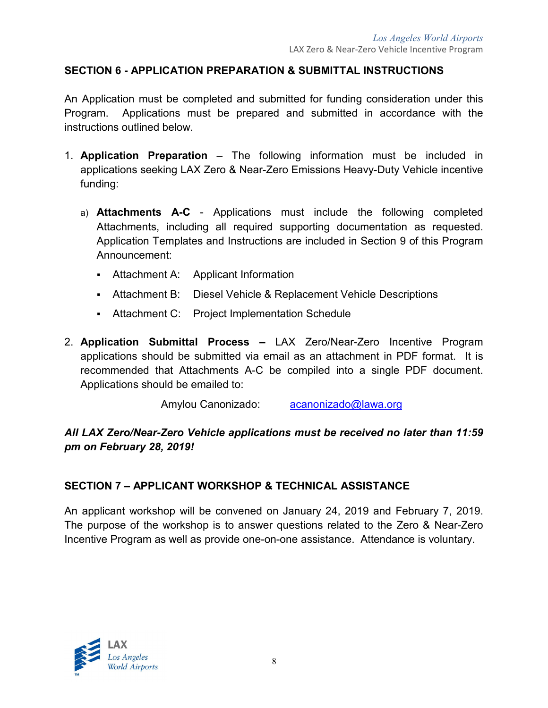#### **SECTION 6 - APPLICATION PREPARATION & SUBMITTAL INSTRUCTIONS**

An Application must be completed and submitted for funding consideration under this Program. Applications must be prepared and submitted in accordance with the instructions outlined below.

- 1. **Application Preparation** The following information must be included in applications seeking LAX Zero & Near-Zero Emissions Heavy-Duty Vehicle incentive funding:
	- a) **Attachments A-C** Applications must include the following completed Attachments, including all required supporting documentation as requested. Application Templates and Instructions are included in Section 9 of this Program Announcement:
		- Attachment A: Applicant Information
		- Attachment B: Diesel Vehicle & Replacement Vehicle Descriptions
		- Attachment C: Project Implementation Schedule
- 2. **Application Submittal Process –** LAX Zero/Near-Zero Incentive Program applications should be submitted via email as an attachment in PDF format. It is recommended that Attachments A-C be compiled into a single PDF document. Applications should be emailed to:

Amylou Canonizado: [acanonizado@lawa.org](mailto:acanonizado@lawa.org)

## *All LAX Zero/Near-Zero Vehicle applications must be received no later than 11:59 pm on February 28, 2019!*

#### **SECTION 7 – APPLICANT WORKSHOP & TECHNICAL ASSISTANCE**

An applicant workshop will be convened on January 24, 2019 and February 7, 2019. The purpose of the workshop is to answer questions related to the Zero & Near-Zero Incentive Program as well as provide one-on-one assistance. Attendance is voluntary.

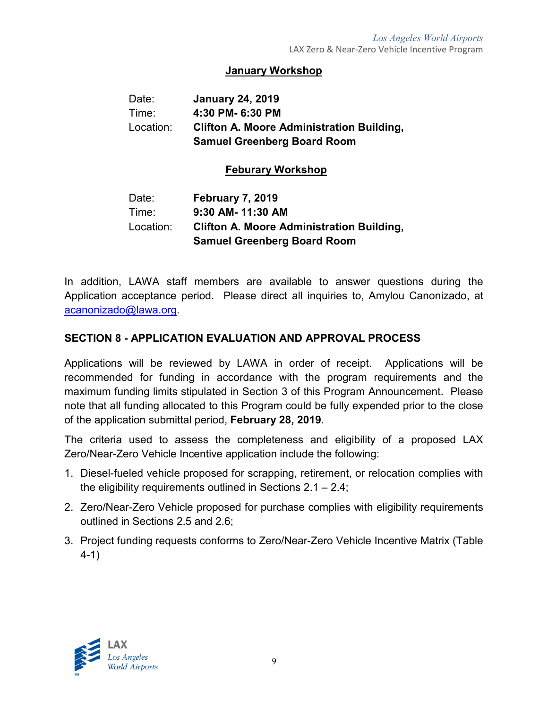#### **January Workshop**

| Date:     | <b>January 24, 2019</b>                          |
|-----------|--------------------------------------------------|
| Time:     | 4:30 PM- 6:30 PM                                 |
| Location: | <b>Clifton A. Moore Administration Building.</b> |
|           | <b>Samuel Greenberg Board Room</b>               |

#### **Feburary Workshop**

| Date:     | <b>February 7, 2019</b>                          |
|-----------|--------------------------------------------------|
| Time:     | 9:30 AM-11:30 AM                                 |
| Location: | <b>Clifton A. Moore Administration Building.</b> |
|           | <b>Samuel Greenberg Board Room</b>               |

In addition, LAWA staff members are available to answer questions during the Application acceptance period. Please direct all inquiries to, Amylou Canonizado, at [acanonizado@lawa.org.](mailto:acanonizado@lawa.org)

#### **SECTION 8 - APPLICATION EVALUATION AND APPROVAL PROCESS**

Applications will be reviewed by LAWA in order of receipt. Applications will be recommended for funding in accordance with the program requirements and the maximum funding limits stipulated in Section 3 of this Program Announcement. Please note that all funding allocated to this Program could be fully expended prior to the close of the application submittal period, **February 28, 2019**.

The criteria used to assess the completeness and eligibility of a proposed LAX Zero/Near-Zero Vehicle Incentive application include the following:

- 1. Diesel-fueled vehicle proposed for scrapping, retirement, or relocation complies with the eligibility requirements outlined in Sections 2.1 – 2.4;
- 2. Zero/Near-Zero Vehicle proposed for purchase complies with eligibility requirements outlined in Sections 2.5 and 2.6;
- 3. Project funding requests conforms to Zero/Near-Zero Vehicle Incentive Matrix (Table 4-1)

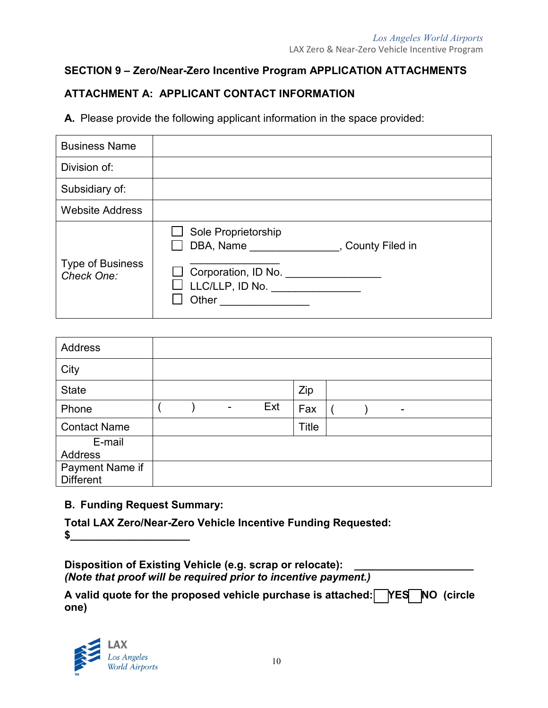# **SECTION 9 – Zero/Near-Zero Incentive Program APPLICATION ATTACHMENTS**

# **ATTACHMENT A: APPLICANT CONTACT INFORMATION**

**A.** Please provide the following applicant information in the space provided:

| <b>Business Name</b>                  |                                                                                                                                                                  |
|---------------------------------------|------------------------------------------------------------------------------------------------------------------------------------------------------------------|
| Division of:                          |                                                                                                                                                                  |
| Subsidiary of:                        |                                                                                                                                                                  |
| <b>Website Address</b>                |                                                                                                                                                                  |
| <b>Type of Business</b><br>Check One: | Sole Proprietorship<br>$\Box$ DBA, Name<br>, County Filed in<br>Corporation, ID No. _________<br>$\Box$ LLC/LLP, ID No. _______________<br>Other _______________ |

| <b>Address</b>      |  |     |       |  |    |  |
|---------------------|--|-----|-------|--|----|--|
| City                |  |     |       |  |    |  |
| <b>State</b>        |  |     | Zip   |  |    |  |
| Phone               |  | Ext | Fax   |  | ۰. |  |
| <b>Contact Name</b> |  |     | Title |  |    |  |
| E-mail              |  |     |       |  |    |  |
| Address             |  |     |       |  |    |  |
| Payment Name if     |  |     |       |  |    |  |
| <b>Different</b>    |  |     |       |  |    |  |

## **B. Funding Request Summary:**

**Total LAX Zero/Near-Zero Vehicle Incentive Funding Requested:** 

**\$\_\_\_\_\_\_\_\_\_\_\_\_\_\_\_\_\_\_\_\_**

**Disposition of Existing Vehicle (e.g. scrap or relocate): \_\_\_\_\_\_\_\_\_\_\_\_\_\_\_\_\_\_\_\_** *(Note that proof will be required prior to incentive payment.)*

**A valid quote for the proposed vehicle purchase is attached: YES NO (circle one)** 

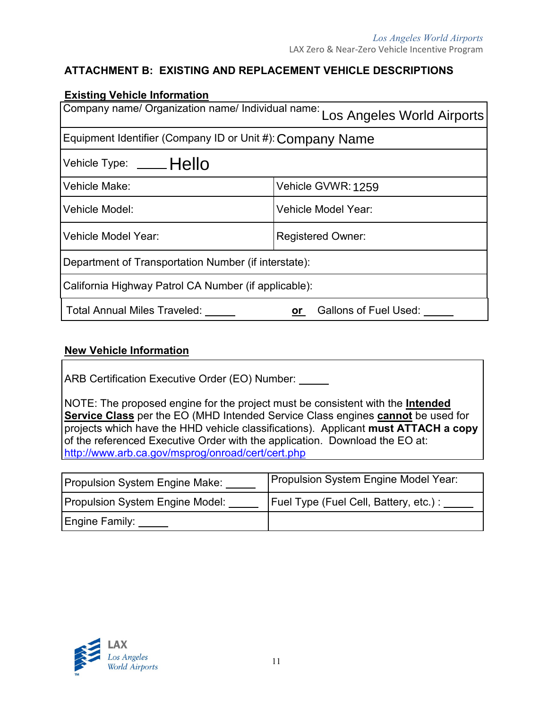# **ATTACHMENT B: EXISTING AND REPLACEMENT VEHICLE DESCRIPTIONS**

| <b>Existing Vehicle Information</b>                                          |                             |  |  |  |
|------------------------------------------------------------------------------|-----------------------------|--|--|--|
| Company name/ Organization name/ Individual name: Los Angeles World Airports |                             |  |  |  |
| Equipment Identifier (Company ID or Unit #): Company Name                    |                             |  |  |  |
| Vehicle Type: ____Hello                                                      |                             |  |  |  |
| Vehicle Make:                                                                | Vehicle GVWR: 1259          |  |  |  |
| Vehicle Model:                                                               | Vehicle Model Year:         |  |  |  |
| Vehicle Model Year:<br><b>Registered Owner:</b>                              |                             |  |  |  |
| Department of Transportation Number (if interstate):                         |                             |  |  |  |
| California Highway Patrol CA Number (if applicable):                         |                             |  |  |  |
| <b>Total Annual Miles Traveled:</b>                                          | Gallons of Fuel Used:<br>or |  |  |  |

## **New Vehicle Information**

ARB Certification Executive Order (EO) Number:

NOTE: The proposed engine for the project must be consistent with the **Intended Service Class** per the EO (MHD Intended Service Class engines **cannot** be used for projects which have the HHD vehicle classifications). Applicant **must ATTACH a copy** of the referenced Executive Order with the application. Download the EO at: <http://www.arb.ca.gov/msprog/onroad/cert/cert.php>

| Propulsion System Engine Make:  | Propulsion System Engine Model Year:  |
|---------------------------------|---------------------------------------|
| Propulsion System Engine Model: | Fuel Type (Fuel Cell, Battery, etc.): |
| Engine Family:                  |                                       |